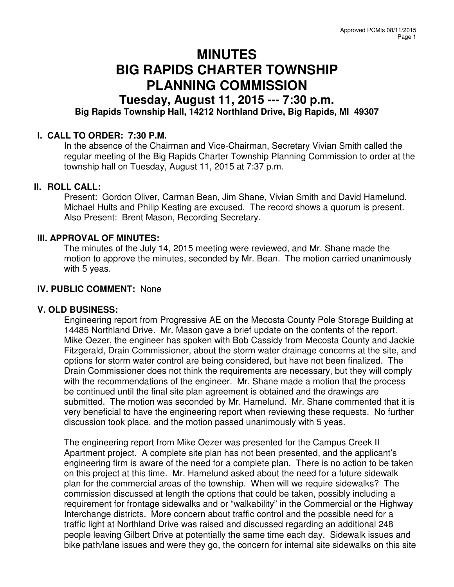# **MINUTES BIG RAPIDS CHARTER TOWNSHIP PLANNING COMMISSION**

# **Tuesday, August 11, 2015 --- 7:30 p.m. Big Rapids Township Hall, 14212 Northland Drive, Big Rapids, MI 49307**

# **I. CALL TO ORDER: 7:30 P.M.**

In the absence of the Chairman and Vice-Chairman, Secretary Vivian Smith called the regular meeting of the Big Rapids Charter Township Planning Commission to order at the township hall on Tuesday, August 11, 2015 at 7:37 p.m.

#### **II. ROLL CALL:**

Present: Gordon Oliver, Carman Bean, Jim Shane, Vivian Smith and David Hamelund. Michael Hults and Philip Keating are excused. The record shows a quorum is present. Also Present: Brent Mason, Recording Secretary.

# **III. APPROVAL OF MINUTES:**

The minutes of the July 14, 2015 meeting were reviewed, and Mr. Shane made the motion to approve the minutes, seconded by Mr. Bean. The motion carried unanimously with 5 yeas.

### **IV. PUBLIC COMMENT:** None

#### **V. OLD BUSINESS:**

Engineering report from Progressive AE on the Mecosta County Pole Storage Building at 14485 Northland Drive. Mr. Mason gave a brief update on the contents of the report. Mike Oezer, the engineer has spoken with Bob Cassidy from Mecosta County and Jackie Fitzgerald, Drain Commissioner, about the storm water drainage concerns at the site, and options for storm water control are being considered, but have not been finalized. The Drain Commissioner does not think the requirements are necessary, but they will comply with the recommendations of the engineer. Mr. Shane made a motion that the process be continued until the final site plan agreement is obtained and the drawings are submitted. The motion was seconded by Mr. Hamelund. Mr. Shane commented that it is very beneficial to have the engineering report when reviewing these requests. No further discussion took place, and the motion passed unanimously with 5 yeas.

The engineering report from Mike Oezer was presented for the Campus Creek II Apartment project. A complete site plan has not been presented, and the applicant's engineering firm is aware of the need for a complete plan. There is no action to be taken on this project at this time. Mr. Hamelund asked about the need for a future sidewalk plan for the commercial areas of the township. When will we require sidewalks? The commission discussed at length the options that could be taken, possibly including a requirement for frontage sidewalks and or "walkability" in the Commercial or the Highway Interchange districts. More concern about traffic control and the possible need for a traffic light at Northland Drive was raised and discussed regarding an additional 248 people leaving Gilbert Drive at potentially the same time each day. Sidewalk issues and bike path/lane issues and were they go, the concern for internal site sidewalks on this site